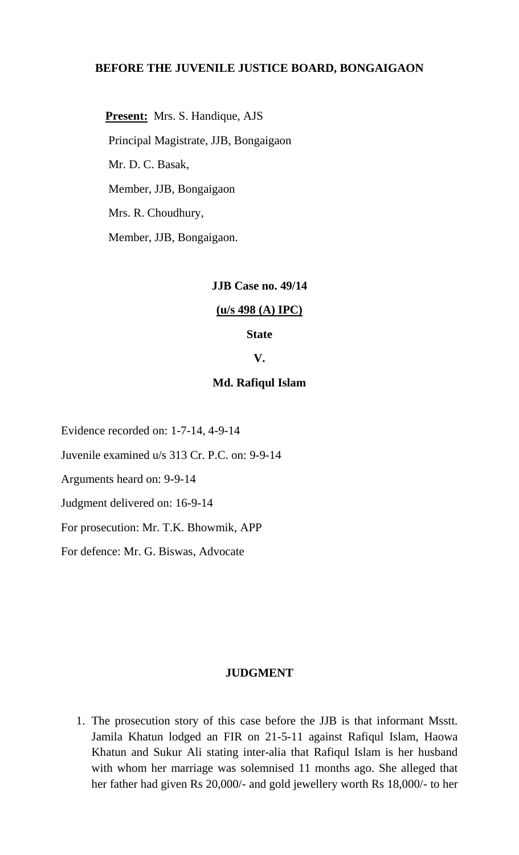# **BEFORE THE JUVENILE JUSTICE BOARD, BONGAIGAON**

 **Present:** Mrs. S. Handique, AJS Principal Magistrate, JJB, Bongaigaon Mr. D. C. Basak, Member, JJB, Bongaigaon Mrs. R. Choudhury, Member, JJB, Bongaigaon.

# **JJB Case no. 49/14**

#### **(u/s 498 (A) IPC)**

## **State**

# **V.**

# **Md. Rafiqul Islam**

Evidence recorded on: 1-7-14, 4-9-14

Juvenile examined u/s 313 Cr. P.C. on: 9-9-14

Arguments heard on: 9-9-14

Judgment delivered on: 16-9-14

For prosecution: Mr. T.K. Bhowmik, APP

For defence: Mr. G. Biswas, Advocate

#### **JUDGMENT**

1. The prosecution story of this case before the JJB is that informant Msstt. Jamila Khatun lodged an FIR on 21-5-11 against Rafiqul Islam, Haowa Khatun and Sukur Ali stating inter-alia that Rafiqul Islam is her husband with whom her marriage was solemnised 11 months ago. She alleged that her father had given Rs 20,000/- and gold jewellery worth Rs 18,000/- to her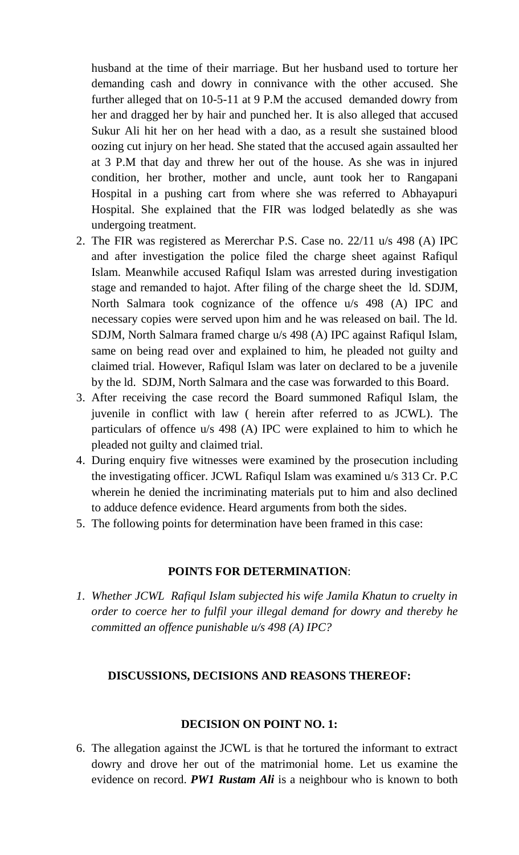husband at the time of their marriage. But her husband used to torture her demanding cash and dowry in connivance with the other accused. She further alleged that on 10-5-11 at 9 P.M the accused demanded dowry from her and dragged her by hair and punched her. It is also alleged that accused Sukur Ali hit her on her head with a dao, as a result she sustained blood oozing cut injury on her head. She stated that the accused again assaulted her at 3 P.M that day and threw her out of the house. As she was in injured condition, her brother, mother and uncle, aunt took her to Rangapani Hospital in a pushing cart from where she was referred to Abhayapuri Hospital. She explained that the FIR was lodged belatedly as she was undergoing treatment.

- 2. The FIR was registered as Mererchar P.S. Case no. 22/11 u/s 498 (A) IPC and after investigation the police filed the charge sheet against Rafiqul Islam. Meanwhile accused Rafiqul Islam was arrested during investigation stage and remanded to hajot. After filing of the charge sheet the ld. SDJM, North Salmara took cognizance of the offence u/s 498 (A) IPC and necessary copies were served upon him and he was released on bail. The ld. SDJM, North Salmara framed charge u/s 498 (A) IPC against Rafiqul Islam, same on being read over and explained to him, he pleaded not guilty and claimed trial. However, Rafiqul Islam was later on declared to be a juvenile by the ld. SDJM, North Salmara and the case was forwarded to this Board.
- 3. After receiving the case record the Board summoned Rafiqul Islam, the juvenile in conflict with law ( herein after referred to as JCWL). The particulars of offence u/s 498 (A) IPC were explained to him to which he pleaded not guilty and claimed trial.
- 4. During enquiry five witnesses were examined by the prosecution including the investigating officer. JCWL Rafiqul Islam was examined u/s 313 Cr. P.C wherein he denied the incriminating materials put to him and also declined to adduce defence evidence. Heard arguments from both the sides.
- 5. The following points for determination have been framed in this case:

# **POINTS FOR DETERMINATION**:

*1. Whether JCWL Rafiqul Islam subjected his wife Jamila Khatun to cruelty in order to coerce her to fulfil your illegal demand for dowry and thereby he committed an offence punishable u/s 498 (A) IPC?*

## **DISCUSSIONS, DECISIONS AND REASONS THEREOF:**

## **DECISION ON POINT NO. 1:**

6. The allegation against the JCWL is that he tortured the informant to extract dowry and drove her out of the matrimonial home. Let us examine the evidence on record. *PW1 Rustam Ali* is a neighbour who is known to both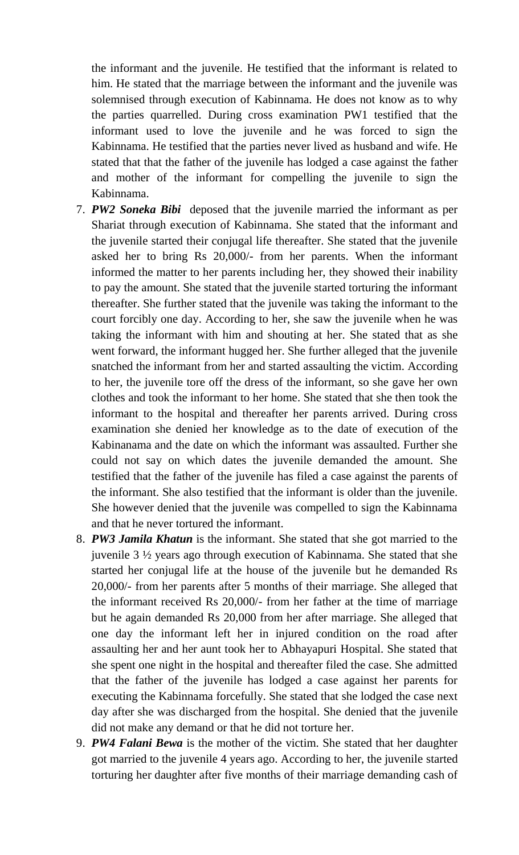the informant and the juvenile. He testified that the informant is related to him. He stated that the marriage between the informant and the juvenile was solemnised through execution of Kabinnama. He does not know as to why the parties quarrelled. During cross examination PW1 testified that the informant used to love the juvenile and he was forced to sign the Kabinnama. He testified that the parties never lived as husband and wife. He stated that that the father of the juvenile has lodged a case against the father and mother of the informant for compelling the juvenile to sign the Kabinnama.

- 7. *PW2 Soneka Bibi* deposed that the juvenile married the informant as per Shariat through execution of Kabinnama. She stated that the informant and the juvenile started their conjugal life thereafter. She stated that the juvenile asked her to bring Rs 20,000/- from her parents. When the informant informed the matter to her parents including her, they showed their inability to pay the amount. She stated that the juvenile started torturing the informant thereafter. She further stated that the juvenile was taking the informant to the court forcibly one day. According to her, she saw the juvenile when he was taking the informant with him and shouting at her. She stated that as she went forward, the informant hugged her. She further alleged that the juvenile snatched the informant from her and started assaulting the victim. According to her, the juvenile tore off the dress of the informant, so she gave her own clothes and took the informant to her home. She stated that she then took the informant to the hospital and thereafter her parents arrived. During cross examination she denied her knowledge as to the date of execution of the Kabinanama and the date on which the informant was assaulted. Further she could not say on which dates the juvenile demanded the amount. She testified that the father of the juvenile has filed a case against the parents of the informant. She also testified that the informant is older than the juvenile. She however denied that the juvenile was compelled to sign the Kabinnama and that he never tortured the informant.
- 8. *PW3 Jamila Khatun* is the informant. She stated that she got married to the juvenile 3 ½ years ago through execution of Kabinnama. She stated that she started her conjugal life at the house of the juvenile but he demanded Rs 20,000/- from her parents after 5 months of their marriage. She alleged that the informant received Rs 20,000/- from her father at the time of marriage but he again demanded Rs 20,000 from her after marriage. She alleged that one day the informant left her in injured condition on the road after assaulting her and her aunt took her to Abhayapuri Hospital. She stated that she spent one night in the hospital and thereafter filed the case. She admitted that the father of the juvenile has lodged a case against her parents for executing the Kabinnama forcefully. She stated that she lodged the case next day after she was discharged from the hospital. She denied that the juvenile did not make any demand or that he did not torture her.
- 9. *PW4 Falani Bewa* is the mother of the victim. She stated that her daughter got married to the juvenile 4 years ago. According to her, the juvenile started torturing her daughter after five months of their marriage demanding cash of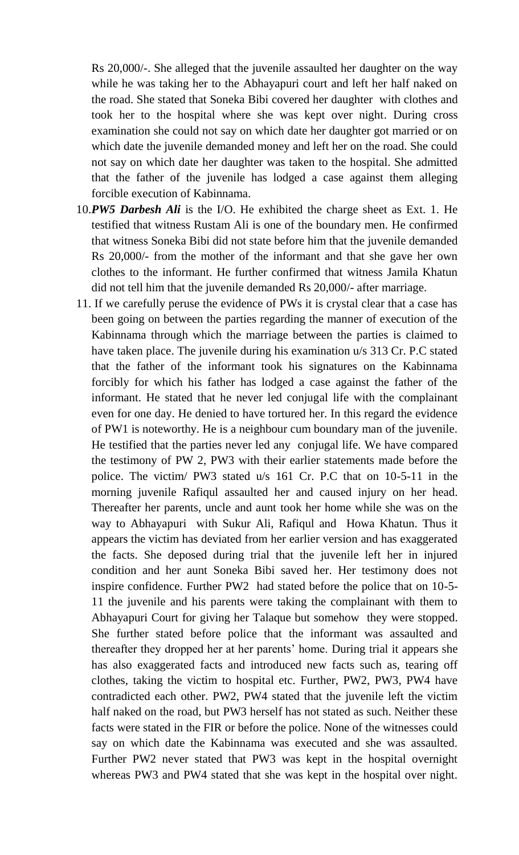Rs 20,000/-. She alleged that the juvenile assaulted her daughter on the way while he was taking her to the Abhayapuri court and left her half naked on the road. She stated that Soneka Bibi covered her daughter with clothes and took her to the hospital where she was kept over night. During cross examination she could not say on which date her daughter got married or on which date the juvenile demanded money and left her on the road. She could not say on which date her daughter was taken to the hospital. She admitted that the father of the juvenile has lodged a case against them alleging forcible execution of Kabinnama.

- 10.*PW5 Darbesh Ali* is the I/O. He exhibited the charge sheet as Ext. 1. He testified that witness Rustam Ali is one of the boundary men. He confirmed that witness Soneka Bibi did not state before him that the juvenile demanded Rs 20,000/- from the mother of the informant and that she gave her own clothes to the informant. He further confirmed that witness Jamila Khatun did not tell him that the juvenile demanded Rs 20,000/- after marriage.
- 11. If we carefully peruse the evidence of PWs it is crystal clear that a case has been going on between the parties regarding the manner of execution of the Kabinnama through which the marriage between the parties is claimed to have taken place. The juvenile during his examination u/s 313 Cr. P.C stated that the father of the informant took his signatures on the Kabinnama forcibly for which his father has lodged a case against the father of the informant. He stated that he never led conjugal life with the complainant even for one day. He denied to have tortured her. In this regard the evidence of PW1 is noteworthy. He is a neighbour cum boundary man of the juvenile. He testified that the parties never led any conjugal life. We have compared the testimony of PW 2, PW3 with their earlier statements made before the police. The victim/ PW3 stated u/s 161 Cr. P.C that on 10-5-11 in the morning juvenile Rafiqul assaulted her and caused injury on her head. Thereafter her parents, uncle and aunt took her home while she was on the way to Abhayapuri with Sukur Ali, Rafiqul and Howa Khatun. Thus it appears the victim has deviated from her earlier version and has exaggerated the facts. She deposed during trial that the juvenile left her in injured condition and her aunt Soneka Bibi saved her. Her testimony does not inspire confidence. Further PW2 had stated before the police that on 10-5- 11 the juvenile and his parents were taking the complainant with them to Abhayapuri Court for giving her Talaque but somehow they were stopped. She further stated before police that the informant was assaulted and thereafter they dropped her at her parents' home. During trial it appears she has also exaggerated facts and introduced new facts such as, tearing off clothes, taking the victim to hospital etc. Further, PW2, PW3, PW4 have contradicted each other. PW2, PW4 stated that the juvenile left the victim half naked on the road, but PW3 herself has not stated as such. Neither these facts were stated in the FIR or before the police. None of the witnesses could say on which date the Kabinnama was executed and she was assaulted. Further PW2 never stated that PW3 was kept in the hospital overnight whereas PW3 and PW4 stated that she was kept in the hospital over night.